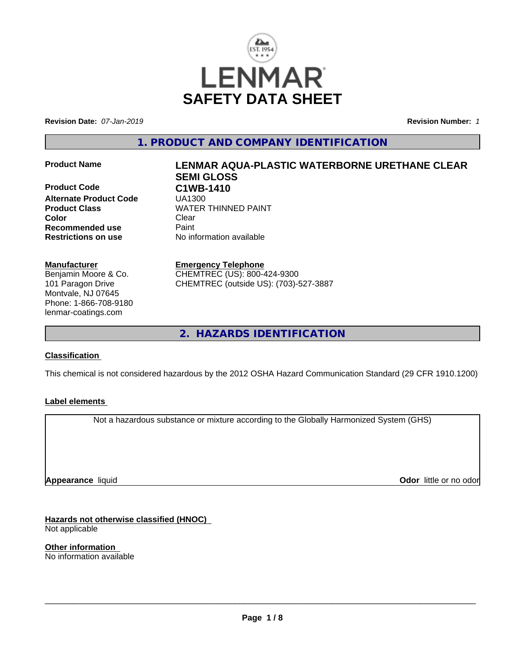

**Revision Date:** *07-Jan-2019* **Revision Number:** *1*

**1. PRODUCT AND COMPANY IDENTIFICATION**

**Product Code C1WB-1410 Alternate Product Code** UA1300 **Color** Clear Clear **Recommended use** Paint<br> **Restrictions on use** Mo information available **Restrictions on use** 

#### **Manufacturer**

Benjamin Moore & Co. 101 Paragon Drive Montvale, NJ 07645 Phone: 1-866-708-9180 lenmar-coatings.com

# **Product Name LENMAR AQUA-PLASTIC WATERBORNE URETHANE CLEAR SEMI GLOSS Product Class WATER THINNED PAINT**

**Emergency Telephone** CHEMTREC (US): 800-424-9300 CHEMTREC (outside US): (703)-527-3887

**2. HAZARDS IDENTIFICATION**

## **Classification**

This chemical is not considered hazardous by the 2012 OSHA Hazard Communication Standard (29 CFR 1910.1200)

#### **Label elements**

Not a hazardous substance or mixture according to the Globally Harmonized System (GHS)

**Appearance** liquid

**Odor** little or no odor

**Hazards not otherwise classified (HNOC)** Not applicable

**Other information** No information available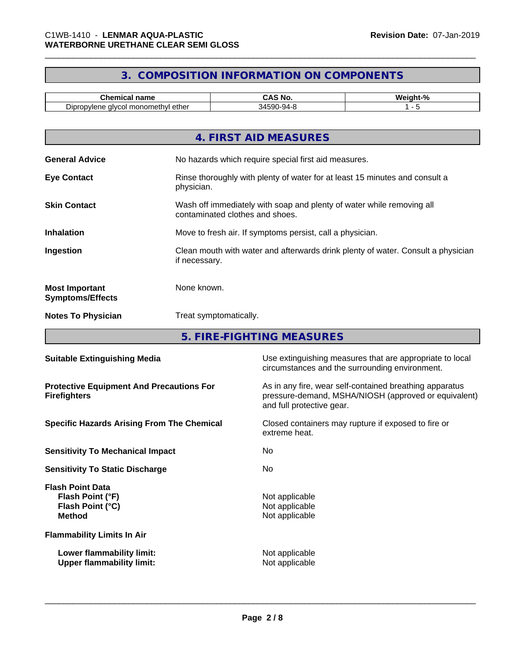# **3. COMPOSITION INFORMATION ON COMPONENTS**

| <u>nome</u><br>:hen<br>name<br>ншса                                                            | 'NC.                  | <b>MA</b><br>$\mathbf{a}$<br>--- |
|------------------------------------------------------------------------------------------------|-----------------------|----------------------------------|
| ethe⊧<br>$\sim$<br>upr<br>alvce<br>moi<br>oviene<br>ietnvi<br>. <i>.</i> 11<br>◡<br>,,,<br>. . | n,<br>1-94-Y<br>v<br> |                                  |

| 4. FIRST AID MEASURES                                                                                                           |
|---------------------------------------------------------------------------------------------------------------------------------|
| <b>General Advice</b><br>No hazards which require special first aid measures.                                                   |
| Rinse thoroughly with plenty of water for at least 15 minutes and consult a<br><b>Eye Contact</b><br>physician.                 |
| <b>Skin Contact</b><br>Wash off immediately with soap and plenty of water while removing all<br>contaminated clothes and shoes. |
| Move to fresh air. If symptoms persist, call a physician.<br><b>Inhalation</b>                                                  |
| Clean mouth with water and afterwards drink plenty of water. Consult a physician<br>Ingestion<br>if necessary.                  |
| None known.<br><b>Most Important</b><br><b>Symptoms/Effects</b>                                                                 |
| <b>Notes To Physician</b><br>Treat symptomatically.                                                                             |

**5. FIRE-FIGHTING MEASURES**

| <b>Suitable Extinguishing Media</b>                                              | Use extinguishing measures that are appropriate to local<br>circumstances and the surrounding environment.                                   |
|----------------------------------------------------------------------------------|----------------------------------------------------------------------------------------------------------------------------------------------|
| <b>Protective Equipment And Precautions For</b><br><b>Firefighters</b>           | As in any fire, wear self-contained breathing apparatus<br>pressure-demand, MSHA/NIOSH (approved or equivalent)<br>and full protective gear. |
| <b>Specific Hazards Arising From The Chemical</b>                                | Closed containers may rupture if exposed to fire or<br>extreme heat.                                                                         |
| <b>Sensitivity To Mechanical Impact</b>                                          | No.                                                                                                                                          |
| <b>Sensitivity To Static Discharge</b>                                           | No.                                                                                                                                          |
| <b>Flash Point Data</b><br>Flash Point (°F)<br>Flash Point (°C)<br><b>Method</b> | Not applicable<br>Not applicable<br>Not applicable                                                                                           |
| <b>Flammability Limits In Air</b>                                                |                                                                                                                                              |
| Lower flammability limit:<br><b>Upper flammability limit:</b>                    | Not applicable<br>Not applicable                                                                                                             |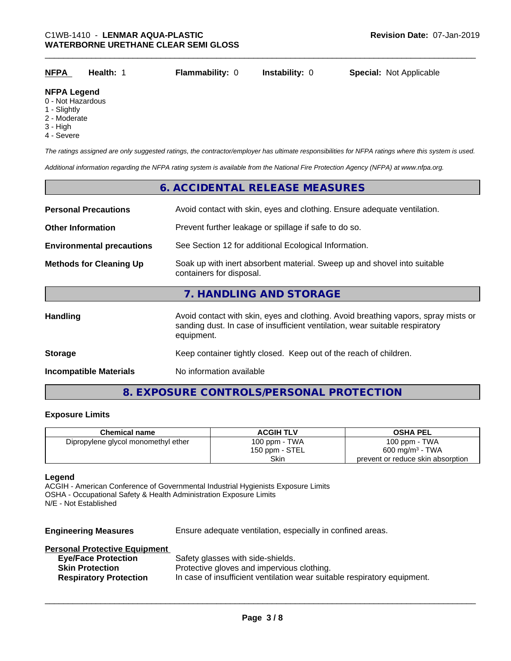| <u>NFPA</u> | Health: . | <b>Flammability: 0</b> | <b>Instability: 0</b> | <b>Special: Not Applicable</b> |  |
|-------------|-----------|------------------------|-----------------------|--------------------------------|--|
| .           |           |                        |                       |                                |  |

#### **NFPA Legend**

- 0 Not Hazardous
- 1 Slightly
- 2 Moderate
- 3 High
- 4 Severe

*The ratings assigned are only suggested ratings, the contractor/employer has ultimate responsibilities for NFPA ratings where this system is used.*

*Additional information regarding the NFPA rating system is available from the National Fire Protection Agency (NFPA) at www.nfpa.org.*

# **6. ACCIDENTAL RELEASE MEASURES**

| <b>Personal Precautions</b>      | Avoid contact with skin, eyes and clothing. Ensure adequate ventilation.                                                                                                         |
|----------------------------------|----------------------------------------------------------------------------------------------------------------------------------------------------------------------------------|
| <b>Other Information</b>         | Prevent further leakage or spillage if safe to do so.                                                                                                                            |
| <b>Environmental precautions</b> | See Section 12 for additional Ecological Information.                                                                                                                            |
| <b>Methods for Cleaning Up</b>   | Soak up with inert absorbent material. Sweep up and shovel into suitable<br>containers for disposal.                                                                             |
|                                  | 7. HANDLING AND STORAGE                                                                                                                                                          |
| <b>Handling</b>                  | Avoid contact with skin, eyes and clothing. Avoid breathing vapors, spray mists or<br>sanding dust. In case of insufficient ventilation, wear suitable respiratory<br>equipment. |
| <b>Storage</b>                   | Keep container tightly closed. Keep out of the reach of children.                                                                                                                |
| <b>Incompatible Materials</b>    | No information available                                                                                                                                                         |
|                                  |                                                                                                                                                                                  |

# **8. EXPOSURE CONTROLS/PERSONAL PROTECTION**

#### **Exposure Limits**

| <b>Chemical name</b>                | <b>ACGIH TLV</b> | <b>OSHA PEL</b>                   |
|-------------------------------------|------------------|-----------------------------------|
| Dipropylene glycol monomethyl ether | 100 ppm - TWA    | 100 ppm - TWA                     |
|                                     | 150 ppm - STEL   | $600 \text{ mg/m}^3$ - TWA        |
|                                     | Skin             | prevent or reduce skin absorption |

#### **Legend**

ACGIH - American Conference of Governmental Industrial Hygienists Exposure Limits OSHA - Occupational Safety & Health Administration Exposure Limits N/E - Not Established

**Engineering Measures** Ensure adequate ventilation, especially in confined areas.

 $\overline{\phantom{a}}$  ,  $\overline{\phantom{a}}$  ,  $\overline{\phantom{a}}$  ,  $\overline{\phantom{a}}$  ,  $\overline{\phantom{a}}$  ,  $\overline{\phantom{a}}$  ,  $\overline{\phantom{a}}$  ,  $\overline{\phantom{a}}$  ,  $\overline{\phantom{a}}$  ,  $\overline{\phantom{a}}$  ,  $\overline{\phantom{a}}$  ,  $\overline{\phantom{a}}$  ,  $\overline{\phantom{a}}$  ,  $\overline{\phantom{a}}$  ,  $\overline{\phantom{a}}$  ,  $\overline{\phantom{a}}$ 

#### **Personal Protective Equipment**

| <b>Eye/Face Protection</b>    | Safety glasses with side-shields.                                        |
|-------------------------------|--------------------------------------------------------------------------|
| <b>Skin Protection</b>        | Protective gloves and impervious clothing.                               |
| <b>Respiratory Protection</b> | In case of insufficient ventilation wear suitable respiratory equipment. |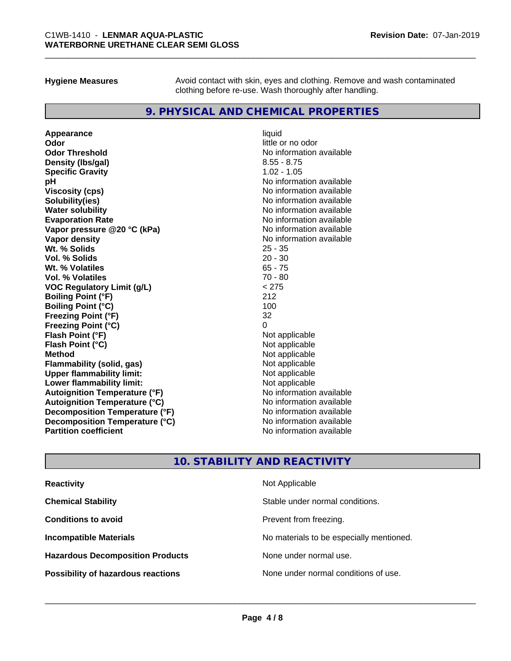**Hygiene Measures** Avoid contact with skin, eyes and clothing. Remove and wash contaminated clothing before re-use. Wash thoroughly after handling.

## **9. PHYSICAL AND CHEMICAL PROPERTIES**

**Appearance** liquid **Odor** little or no odor **Odor Threshold**<br> **Density (Ibs/gal)**<br> **Density (Ibs/gal)**<br>
2.55 - 8.75 **Density (lbs/gal) Specific Gravity** 1.02 - 1.05 **pH**<br>
Viscosity (cps) The Contract of the Contract of the Viscosity (cps) and Viscosity (cps) **Solubility(ies)** No information available **Water solubility** No information available **Evaporation Rate Evaporation Rate No information available Vapor pressure @20 °C (kPa)** No information available **Vapor density Vapor density No information available Wt. % Solids** 25 - 35 **Vol. % Solids** 20 - 30 **Wt. % Volatiles** 65 - 75 **Vol. % Volatiles** 70 - 80 **VOC Regulatory Limit (g/L)** < 275 **Boiling Point (°F)** 212 **Boiling Point (°C)** 100 **Freezing Point (°F)** 32 **Freezing Point (°C)** 0 **Flash Point (°F)**<br> **Flash Point (°C)**<br> **Flash Point (°C)**<br> **C Flash Point (°C) Method** Not applicable **Flammability (solid, gas)** Not applicable Not applicable<br>
Upper flammability limit: Not applicable **Upper flammability limit:**<br> **Lower flammability limit:**<br>
Not applicable<br>
Not applicable **Lower flammability limit: Autoignition Temperature (°F)** No information available **Autoignition Temperature (°C)** No information available **Decomposition Temperature (°F)** No information available **Decomposition Temperature (°C)**<br> **Partition coefficient**<br> **Partition coefficient**<br> **No** information available

**Viscosity (cps)** No information available **No information available** 

# **10. STABILITY AND REACTIVITY**

| <b>Reactivity</b>                         | Not Applicable                           |
|-------------------------------------------|------------------------------------------|
| <b>Chemical Stability</b>                 | Stable under normal conditions.          |
| <b>Conditions to avoid</b>                | Prevent from freezing.                   |
| <b>Incompatible Materials</b>             | No materials to be especially mentioned. |
| <b>Hazardous Decomposition Products</b>   | None under normal use.                   |
| <b>Possibility of hazardous reactions</b> | None under normal conditions of use.     |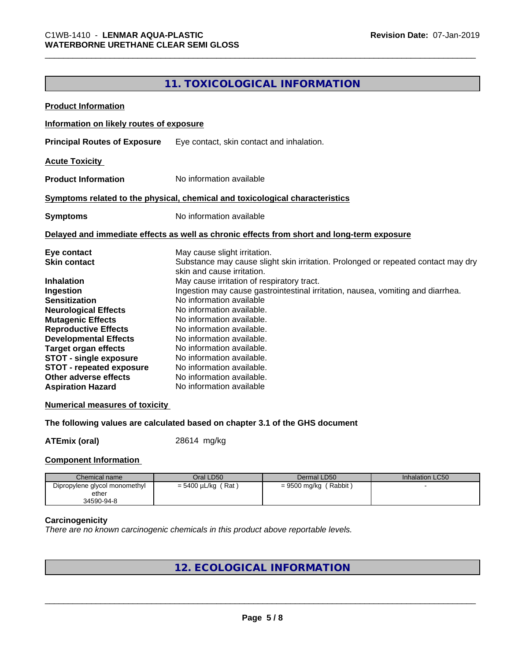# **11. TOXICOLOGICAL INFORMATION**

| <b>Product Information</b>                                                                 |                                            |                                                                                   |                        |  |
|--------------------------------------------------------------------------------------------|--------------------------------------------|-----------------------------------------------------------------------------------|------------------------|--|
| Information on likely routes of exposure                                                   |                                            |                                                                                   |                        |  |
| <b>Principal Routes of Exposure</b>                                                        |                                            | Eye contact, skin contact and inhalation.                                         |                        |  |
|                                                                                            |                                            |                                                                                   |                        |  |
| <b>Acute Toxicity</b>                                                                      |                                            |                                                                                   |                        |  |
| <b>Product Information</b>                                                                 | No information available                   |                                                                                   |                        |  |
| Symptoms related to the physical, chemical and toxicological characteristics               |                                            |                                                                                   |                        |  |
| <b>Symptoms</b>                                                                            |                                            | No information available                                                          |                        |  |
| Delayed and immediate effects as well as chronic effects from short and long-term exposure |                                            |                                                                                   |                        |  |
| Eye contact                                                                                | May cause slight irritation.               |                                                                                   |                        |  |
| <b>Skin contact</b>                                                                        |                                            | Substance may cause slight skin irritation. Prolonged or repeated contact may dry |                        |  |
|                                                                                            | skin and cause irritation.                 |                                                                                   |                        |  |
| <b>Inhalation</b>                                                                          | May cause irritation of respiratory tract. |                                                                                   |                        |  |
| Ingestion                                                                                  |                                            | Ingestion may cause gastrointestinal irritation, nausea, vomiting and diarrhea.   |                        |  |
| <b>Sensitization</b>                                                                       | No information available                   |                                                                                   |                        |  |
| <b>Neurological Effects</b>                                                                | No information available.                  |                                                                                   |                        |  |
| <b>Mutagenic Effects</b>                                                                   |                                            | No information available.                                                         |                        |  |
| <b>Reproductive Effects</b>                                                                | No information available.                  |                                                                                   |                        |  |
| <b>Developmental Effects</b>                                                               | No information available.                  |                                                                                   |                        |  |
| <b>Target organ effects</b>                                                                | No information available.                  |                                                                                   |                        |  |
| <b>STOT - single exposure</b>                                                              | No information available.                  |                                                                                   |                        |  |
| <b>STOT - repeated exposure</b>                                                            |                                            | No information available.                                                         |                        |  |
| Other adverse effects                                                                      |                                            | No information available.                                                         |                        |  |
| <b>Aspiration Hazard</b>                                                                   |                                            | No information available                                                          |                        |  |
| <b>Numerical measures of toxicity</b>                                                      |                                            |                                                                                   |                        |  |
| The following values are calculated based on chapter 3.1 of the GHS document               |                                            |                                                                                   |                        |  |
| <b>ATEmix (oral)</b>                                                                       | 28614 mg/kg                                |                                                                                   |                        |  |
| <b>Component Information</b>                                                               |                                            |                                                                                   |                        |  |
| Chemical name                                                                              | Oral LD50                                  | Dermal LD50                                                                       | <b>Inhalation LC50</b> |  |
| Dipropylene glycol monomethyl                                                              | $= 5400 \mu L/kg$ (Rat)                    | $= 9500$ mg/kg (Rabbit)                                                           |                        |  |
| ether<br>34590-94-8                                                                        |                                            |                                                                                   |                        |  |

#### **Carcinogenicity**

*There are no known carcinogenic chemicals in this product above reportable levels.*

**12. ECOLOGICAL INFORMATION**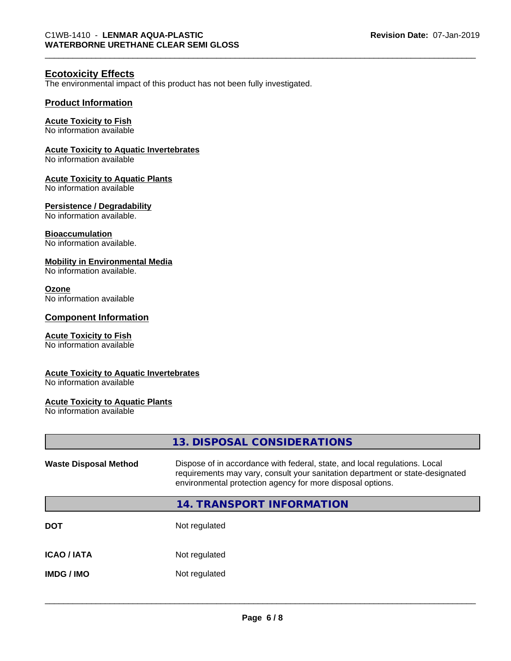#### **Ecotoxicity Effects**

The environmental impact of this product has not been fully investigated.

#### **Product Information**

#### **Acute Toxicity to Fish**

No information available

#### **Acute Toxicity to Aquatic Invertebrates**

No information available

#### **Acute Toxicity to Aquatic Plants**

No information available

#### **Persistence / Degradability**

No information available.

#### **Bioaccumulation**

No information available.

#### **Mobility in Environmental Media**

No information available.

#### **Ozone**

No information available

#### **Component Information**

#### **Acute Toxicity to Fish**

No information available

#### **Acute Toxicity to Aquatic Invertebrates**

No information available

#### **Acute Toxicity to Aquatic Plants**

No information available

|                              | 13. DISPOSAL CONSIDERATIONS                                                                                                                                                                                               |
|------------------------------|---------------------------------------------------------------------------------------------------------------------------------------------------------------------------------------------------------------------------|
| <b>Waste Disposal Method</b> | Dispose of in accordance with federal, state, and local regulations. Local<br>requirements may vary, consult your sanitation department or state-designated<br>environmental protection agency for more disposal options. |
|                              | <b>14. TRANSPORT INFORMATION</b>                                                                                                                                                                                          |
| DOT                          | Not regulated                                                                                                                                                                                                             |
| <b>ICAO / IATA</b>           | Not regulated                                                                                                                                                                                                             |
| IMDG / IMO                   | Not regulated                                                                                                                                                                                                             |
|                              |                                                                                                                                                                                                                           |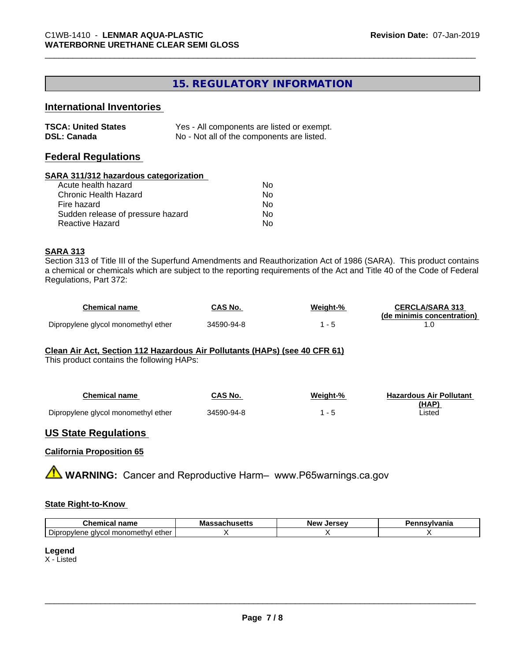# **15. REGULATORY INFORMATION**

# **International Inventories**

| <b>TSCA: United States</b> | Yes - All components are listed or exempt. |
|----------------------------|--------------------------------------------|
| <b>DSL: Canada</b>         | No - Not all of the components are listed. |

#### **Federal Regulations**

#### **SARA 311/312 hazardous categorization**

| Acute health hazard               | Nο |
|-----------------------------------|----|
| Chronic Health Hazard             | N٥ |
| Fire hazard                       | Nο |
| Sudden release of pressure hazard | Nο |
| Reactive Hazard                   | N٥ |

#### **SARA 313**

Section 313 of Title III of the Superfund Amendments and Reauthorization Act of 1986 (SARA). This product contains a chemical or chemicals which are subject to the reporting requirements of the Act and Title 40 of the Code of Federal Regulations, Part 372:

| Chemical name                       | CAS No.    | Weiaht-% | <b>CERCLA/SARA 313</b>     |
|-------------------------------------|------------|----------|----------------------------|
|                                     |            |          | (de minimis concentration) |
| Dipropylene glycol monomethyl ether | 34590-94-8 |          |                            |

#### **Clean Air Act,Section 112 Hazardous Air Pollutants (HAPs) (see 40 CFR 61)**

This product contains the following HAPs:

| Chemical name                       | CAS No.    | Weight-% | <b>Hazardous Air Pollutant</b> |
|-------------------------------------|------------|----------|--------------------------------|
|                                     |            |          | (HAP)                          |
| Dipropylene glycol monomethyl ether | 34590-94-8 |          | Listed                         |

#### **US State Regulations**

#### **California Proposition 65**

**A WARNING:** Cancer and Reproductive Harm– www.P65warnings.ca.gov

#### **State Right-to-Know**

| $  -$<br>----<br>- -<br>name<br>Chemica                                               | Mass<br>- - -<br>…Jau∏ujuus — | Jersev<br><b>Nev</b><br>. 35° | <b>nsvivania</b> |
|---------------------------------------------------------------------------------------|-------------------------------|-------------------------------|------------------|
| $\overline{\phantom{a}}$<br>∶ monometh∨l ether ار<br>Dipropylene<br>alvco<br>$\cdots$ |                               |                               |                  |

#### **Legend**

X - Listed